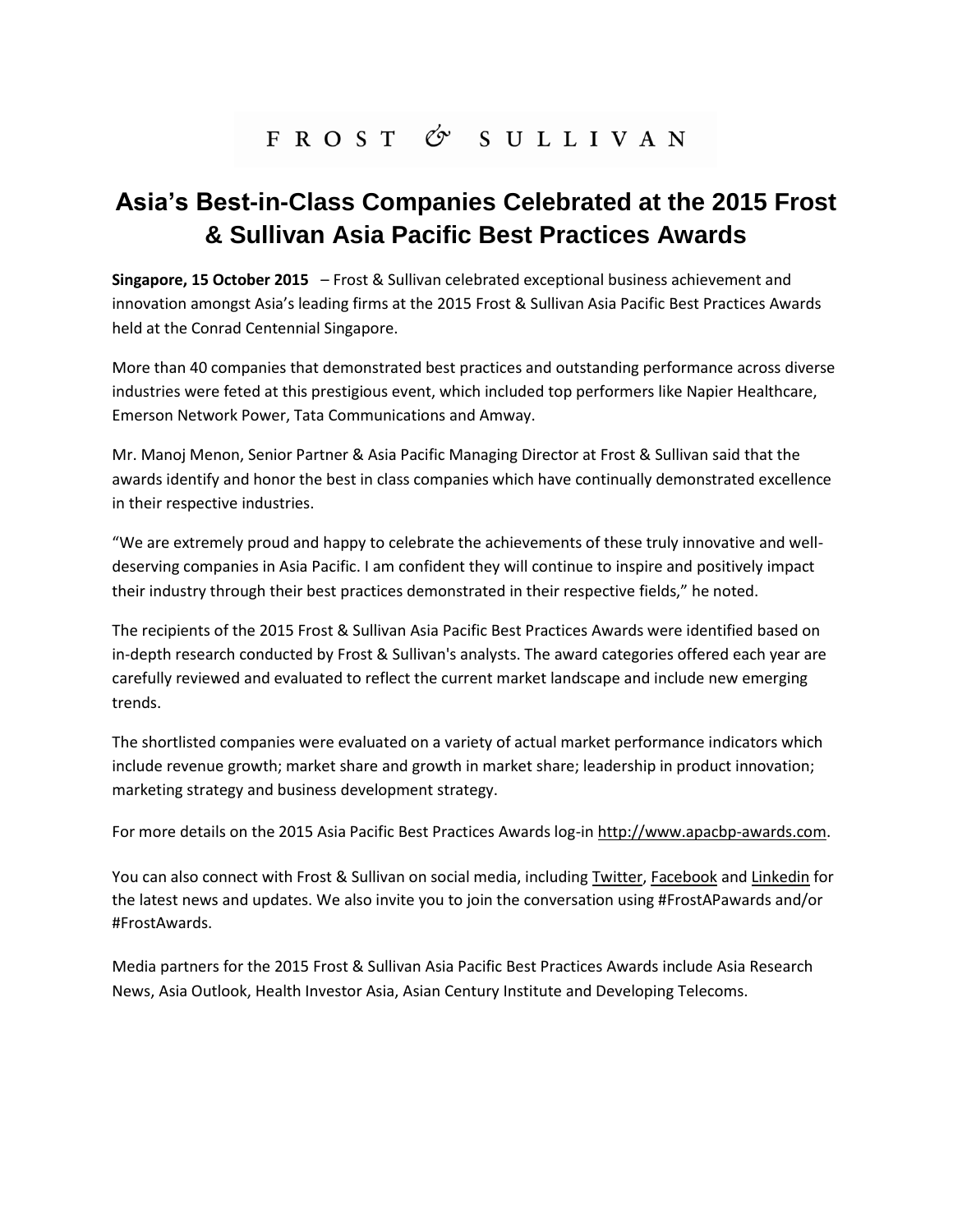# FROST & SULLIVAN

## **Asia's Best-in-Class Companies Celebrated at the 2015 Frost & Sullivan Asia Pacific Best Practices Awards**

**Singapore, 15 October 2015** – Frost & Sullivan celebrated exceptional business achievement and innovation amongst Asia's leading firms at the 2015 Frost & Sullivan Asia Pacific Best Practices Awards held at the Conrad Centennial Singapore.

More than 40 companies that demonstrated best practices and outstanding performance across diverse industries were feted at this prestigious event, which included top performers like Napier Healthcare, Emerson Network Power, Tata Communications and Amway.

Mr. Manoj Menon, Senior Partner & Asia Pacific Managing Director at Frost & Sullivan said that the awards identify and honor the best in class companies which have continually demonstrated excellence in their respective industries.

"We are extremely proud and happy to celebrate the achievements of these truly innovative and welldeserving companies in Asia Pacific. I am confident they will continue to inspire and positively impact their industry through their best practices demonstrated in their respective fields," he noted.

The recipients of the 2015 Frost & Sullivan Asia Pacific Best Practices Awards were identified based on in-depth research conducted by Frost & Sullivan's analysts. The award categories offered each year are carefully reviewed and evaluated to reflect the current market landscape and include new emerging trends.

The shortlisted companies were evaluated on a variety of actual market performance indicators which include revenue growth; market share and growth in market share; leadership in product innovation; marketing strategy and business development strategy.

For more details on the 2015 Asia Pacific Best Practices Awards log-in [http://www.apacbp-awards.com.](http://www.apacbp-awards.com/)

You can also connect with Frost & Sullivan on social media, including [Twitter,](https://twitter.com/frostsullivanap) [Facebook](https://www.facebook.com/FSAwards) an[d Linkedin](https://www.linkedin.com/company/asia-pacific-%E2%80%93-frost-&-sullivan) for the latest news and updates. We also invite you to join the conversation using #FrostAPawards and/or #FrostAwards.

Media partners for the 2015 Frost & Sullivan Asia Pacific Best Practices Awards include Asia Research News, Asia Outlook, Health Investor Asia, Asian Century Institute and Developing Telecoms.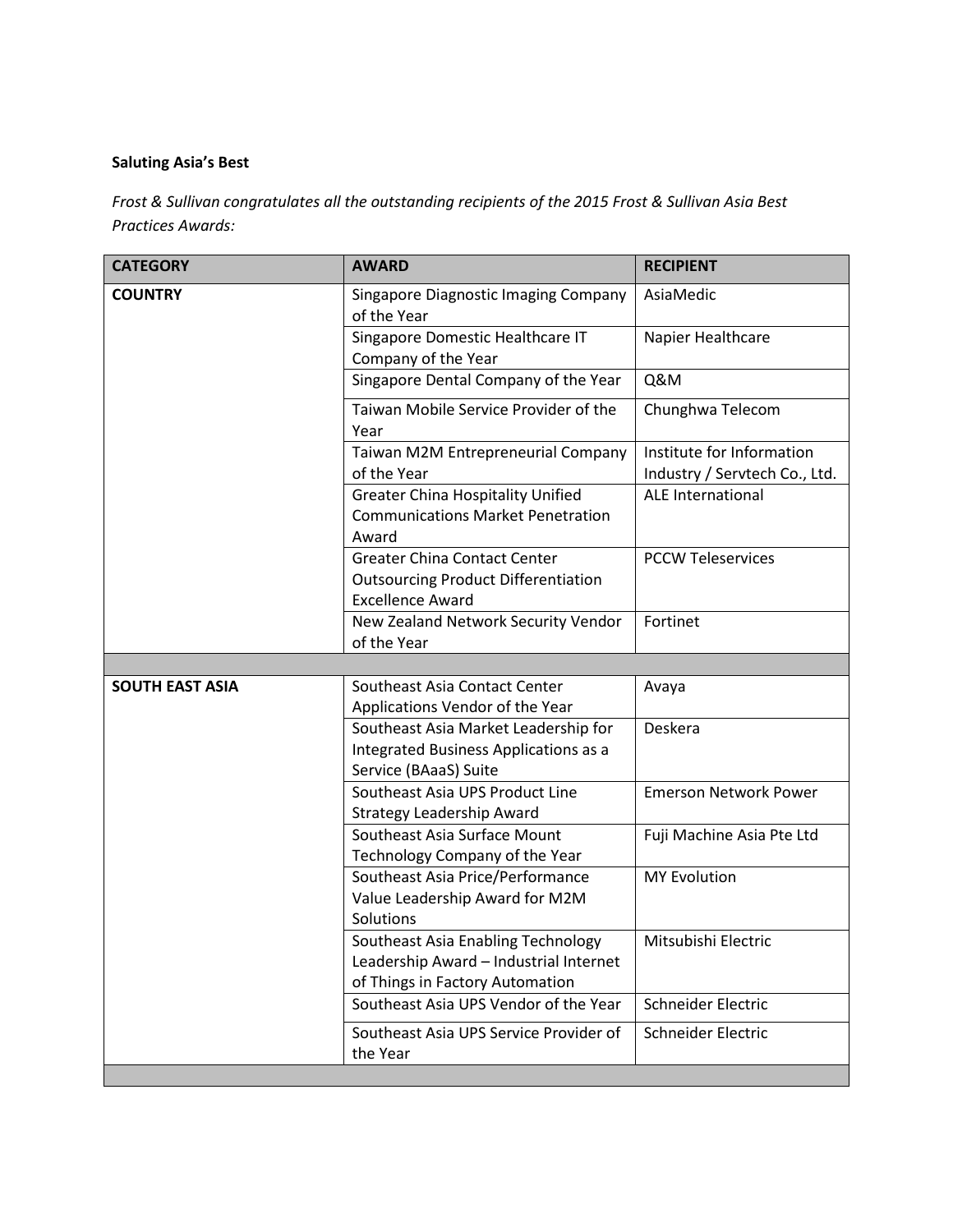## **Saluting Asia's Best**

*Frost & Sullivan congratulates all the outstanding recipients of the 2015 Frost & Sullivan Asia Best Practices Awards:*

| <b>CATEGORY</b>        | <b>AWARD</b>                                                                                                    | <b>RECIPIENT</b>                                           |
|------------------------|-----------------------------------------------------------------------------------------------------------------|------------------------------------------------------------|
| <b>COUNTRY</b>         | Singapore Diagnostic Imaging Company<br>of the Year                                                             | AsiaMedic                                                  |
|                        | Singapore Domestic Healthcare IT<br>Company of the Year                                                         | Napier Healthcare                                          |
|                        | Singapore Dental Company of the Year                                                                            | <b>Q&amp;M</b>                                             |
|                        | Taiwan Mobile Service Provider of the<br>Year                                                                   | Chunghwa Telecom                                           |
|                        | Taiwan M2M Entrepreneurial Company<br>of the Year                                                               | Institute for Information<br>Industry / Servtech Co., Ltd. |
|                        | <b>Greater China Hospitality Unified</b><br><b>Communications Market Penetration</b><br>Award                   | <b>ALE International</b>                                   |
|                        | <b>Greater China Contact Center</b><br><b>Outsourcing Product Differentiation</b><br><b>Excellence Award</b>    | <b>PCCW Teleservices</b>                                   |
|                        | New Zealand Network Security Vendor<br>of the Year                                                              | Fortinet                                                   |
|                        |                                                                                                                 |                                                            |
| <b>SOUTH EAST ASIA</b> | Southeast Asia Contact Center<br>Applications Vendor of the Year                                                | Avaya                                                      |
|                        | Southeast Asia Market Leadership for                                                                            | Deskera                                                    |
|                        | Integrated Business Applications as a<br>Service (BAaaS) Suite                                                  |                                                            |
|                        | Southeast Asia UPS Product Line<br><b>Strategy Leadership Award</b>                                             | <b>Emerson Network Power</b>                               |
|                        | Southeast Asia Surface Mount<br>Technology Company of the Year                                                  | Fuji Machine Asia Pte Ltd                                  |
|                        | Southeast Asia Price/Performance<br>Value Leadership Award for M2M<br>Solutions                                 | <b>MY Evolution</b>                                        |
|                        | Southeast Asia Enabling Technology<br>Leadership Award - Industrial Internet<br>of Things in Factory Automation | Mitsubishi Electric                                        |
|                        | Southeast Asia UPS Vendor of the Year                                                                           | Schneider Electric                                         |
|                        | Southeast Asia UPS Service Provider of<br>the Year                                                              | Schneider Electric                                         |
|                        |                                                                                                                 |                                                            |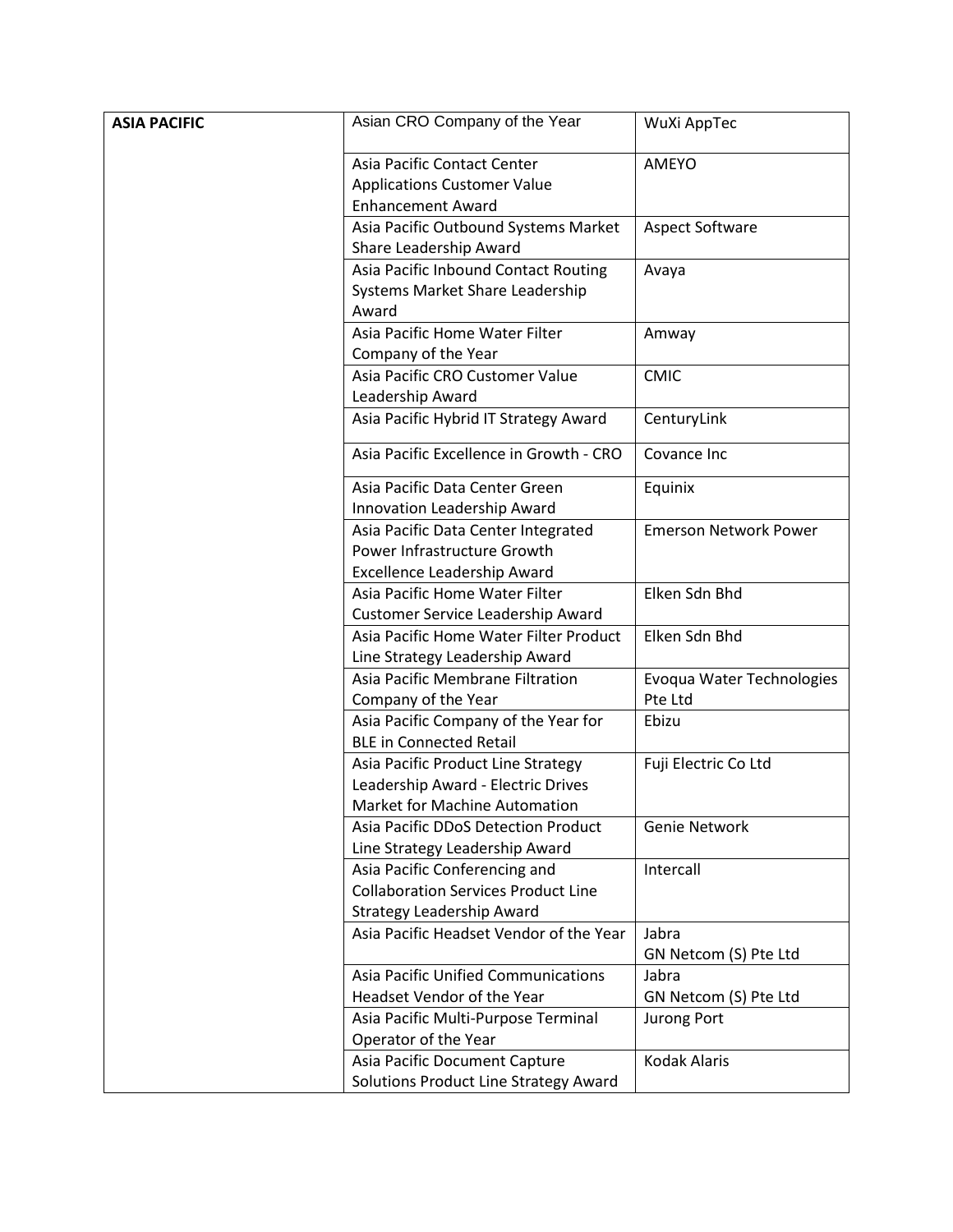| <b>ASIA PACIFIC</b> | Asian CRO Company of the Year                                               | WuXi AppTec                  |
|---------------------|-----------------------------------------------------------------------------|------------------------------|
|                     | Asia Pacific Contact Center                                                 | AMEYO                        |
|                     |                                                                             |                              |
|                     | <b>Applications Customer Value</b><br><b>Enhancement Award</b>              |                              |
|                     |                                                                             |                              |
|                     | Asia Pacific Outbound Systems Market<br>Share Leadership Award              | <b>Aspect Software</b>       |
|                     | Asia Pacific Inbound Contact Routing                                        |                              |
|                     | Systems Market Share Leadership                                             | Avaya                        |
|                     | Award                                                                       |                              |
|                     | Asia Pacific Home Water Filter                                              | Amway                        |
|                     | Company of the Year                                                         |                              |
|                     | Asia Pacific CRO Customer Value                                             | <b>CMIC</b>                  |
|                     | Leadership Award                                                            |                              |
|                     | Asia Pacific Hybrid IT Strategy Award                                       | CenturyLink                  |
|                     | Asia Pacific Excellence in Growth - CRO                                     | Covance Inc                  |
|                     | Asia Pacific Data Center Green                                              | Equinix                      |
|                     | Innovation Leadership Award                                                 |                              |
|                     | Asia Pacific Data Center Integrated                                         | <b>Emerson Network Power</b> |
|                     | Power Infrastructure Growth                                                 |                              |
|                     | Excellence Leadership Award                                                 |                              |
|                     | Asia Pacific Home Water Filter                                              | Elken Sdn Bhd                |
|                     | Customer Service Leadership Award                                           |                              |
|                     | Asia Pacific Home Water Filter Product                                      | Elken Sdn Bhd                |
|                     | Line Strategy Leadership Award                                              |                              |
|                     | Asia Pacific Membrane Filtration                                            | Evoqua Water Technologies    |
|                     | Company of the Year                                                         | Pte Ltd                      |
|                     | Asia Pacific Company of the Year for                                        | Ebizu                        |
|                     | <b>BLE in Connected Retail</b>                                              |                              |
|                     | Asia Pacific Product Line Strategy                                          | Fuji Electric Co Ltd         |
|                     | Leadership Award - Electric Drives                                          |                              |
|                     | <b>Market for Machine Automation</b>                                        |                              |
|                     | Asia Pacific DDoS Detection Product                                         | Genie Network                |
|                     | Line Strategy Leadership Award                                              |                              |
|                     | Asia Pacific Conferencing and<br><b>Collaboration Services Product Line</b> | Intercall                    |
|                     | Strategy Leadership Award                                                   |                              |
|                     | Asia Pacific Headset Vendor of the Year                                     | Jabra                        |
|                     |                                                                             | GN Netcom (S) Pte Ltd        |
|                     | Asia Pacific Unified Communications                                         | Jabra                        |
|                     | Headset Vendor of the Year                                                  | GN Netcom (S) Pte Ltd        |
|                     | Asia Pacific Multi-Purpose Terminal                                         | Jurong Port                  |
|                     | Operator of the Year                                                        |                              |
|                     | Asia Pacific Document Capture                                               | <b>Kodak Alaris</b>          |
|                     | Solutions Product Line Strategy Award                                       |                              |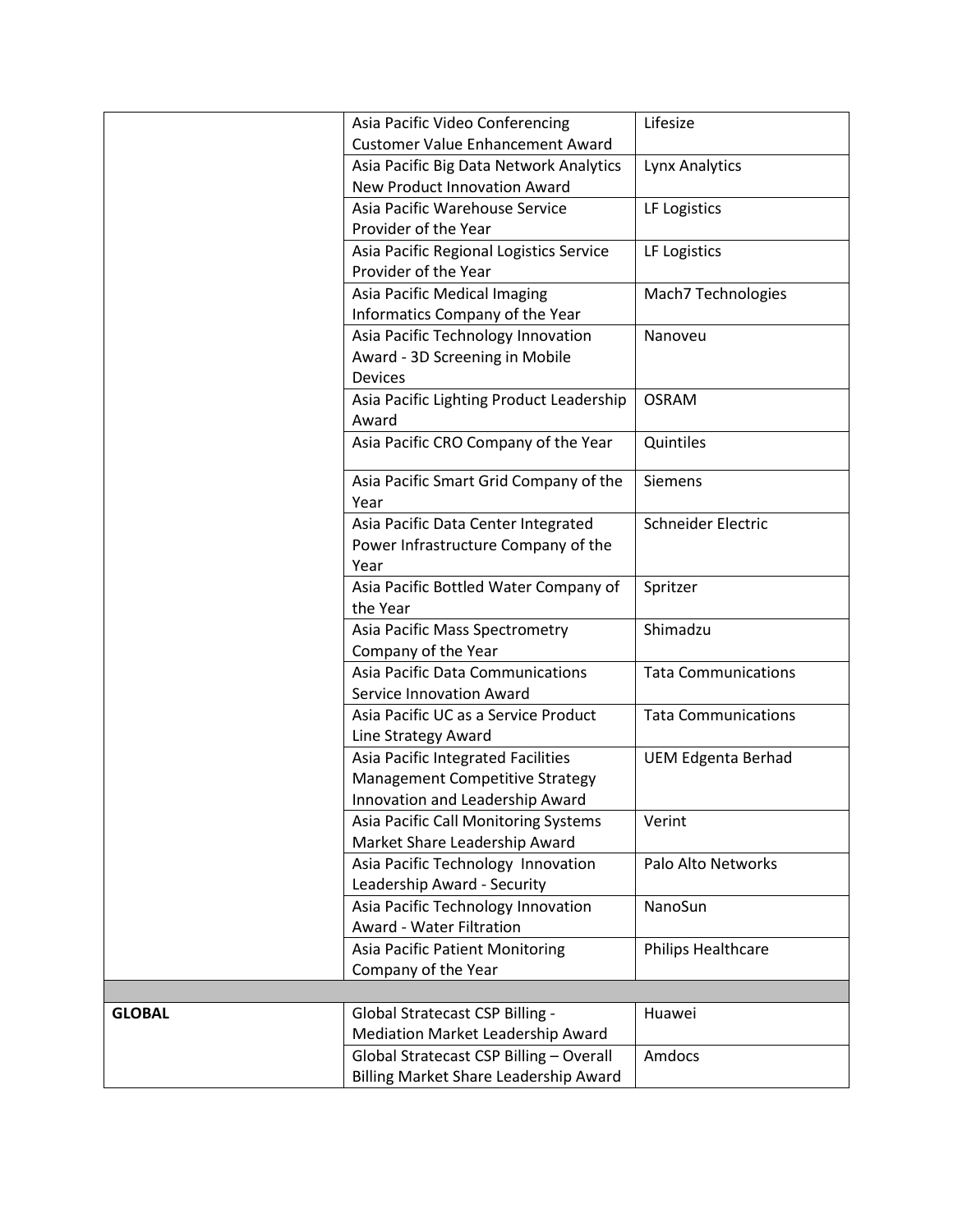|               | Asia Pacific Video Conferencing                | Lifesize                   |
|---------------|------------------------------------------------|----------------------------|
|               | <b>Customer Value Enhancement Award</b>        |                            |
|               | Asia Pacific Big Data Network Analytics        | Lynx Analytics             |
|               | New Product Innovation Award                   |                            |
|               | Asia Pacific Warehouse Service                 | LF Logistics               |
|               | Provider of the Year                           |                            |
|               | Asia Pacific Regional Logistics Service        | LF Logistics               |
|               | Provider of the Year                           |                            |
|               | Asia Pacific Medical Imaging                   | Mach7 Technologies         |
|               | Informatics Company of the Year                |                            |
|               | Asia Pacific Technology Innovation             | Nanoveu                    |
|               | Award - 3D Screening in Mobile                 |                            |
|               | Devices                                        |                            |
|               | Asia Pacific Lighting Product Leadership       | <b>OSRAM</b>               |
|               | Award                                          |                            |
|               | Asia Pacific CRO Company of the Year           | Quintiles                  |
|               | Asia Pacific Smart Grid Company of the<br>Year | Siemens                    |
|               | Asia Pacific Data Center Integrated            | Schneider Electric         |
|               | Power Infrastructure Company of the            |                            |
|               | Year                                           |                            |
|               | Asia Pacific Bottled Water Company of          | Spritzer                   |
|               | the Year                                       |                            |
|               | Asia Pacific Mass Spectrometry                 | Shimadzu                   |
|               | Company of the Year                            |                            |
|               | Asia Pacific Data Communications               | <b>Tata Communications</b> |
|               | Service Innovation Award                       |                            |
|               | Asia Pacific UC as a Service Product           | <b>Tata Communications</b> |
|               | Line Strategy Award                            |                            |
|               | Asia Pacific Integrated Facilities             | <b>UEM Edgenta Berhad</b>  |
|               | Management Competitive Strategy                |                            |
|               | Innovation and Leadership Award                |                            |
|               | Asia Pacific Call Monitoring Systems           | Verint                     |
|               | Market Share Leadership Award                  |                            |
|               | Asia Pacific Technology Innovation             | Palo Alto Networks         |
|               | Leadership Award - Security                    |                            |
|               | Asia Pacific Technology Innovation             | NanoSun                    |
|               | Award - Water Filtration                       |                            |
|               | <b>Asia Pacific Patient Monitoring</b>         | Philips Healthcare         |
|               | Company of the Year                            |                            |
|               |                                                |                            |
| <b>GLOBAL</b> | Global Stratecast CSP Billing -                | Huawei                     |
|               | Mediation Market Leadership Award              |                            |
|               | Global Stratecast CSP Billing - Overall        | Amdocs                     |
|               | Billing Market Share Leadership Award          |                            |